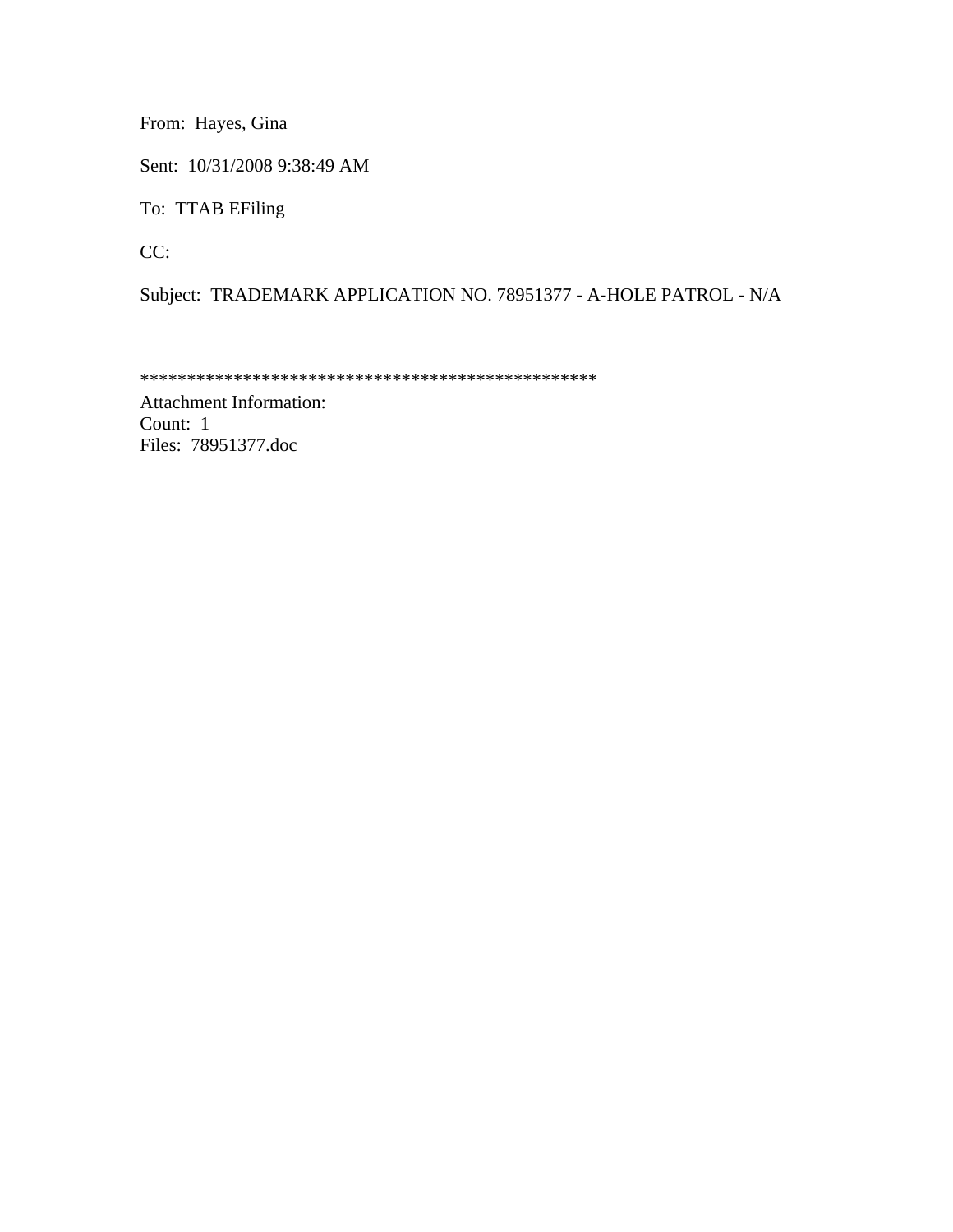From: Hayes, Gina

Sent: 10/31/2008 9:38:49 AM

To: TTAB EFiling

CC:

Subject: TRADEMARK APPLICATION NO. 78951377 - A-HOLE PATROL - N/A

\*\*\*\*\*\*\*\*\*\*\*\*\*\*\*\*\*\*\*\*\*\*\*\*\*\*\*\*\*\*\*\*\*\*\*\*\*\*\*\*\*\*\*\*\*\*\*\*\*

Attachment Information: Count: 1 Files: 78951377.doc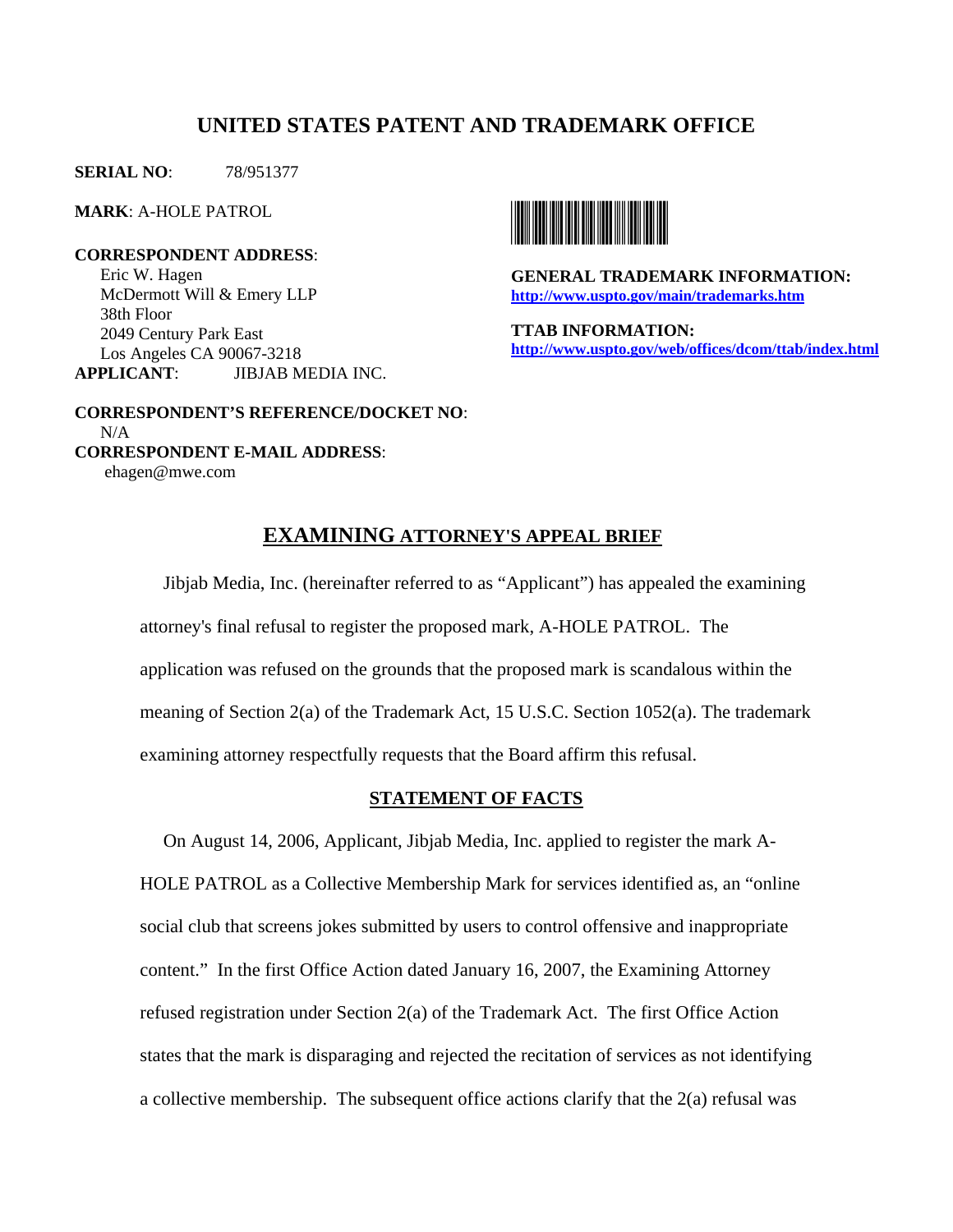# **UNITED STATES PATENT AND TRADEMARK OFFICE**

**SERIAL NO**: 78/951377

**MARK**: A-HOLE PATROL

**CORRESPONDENT ADDRESS**: Eric W. Hagen McDermott Will & Emery LLP 38th Floor 2049 Century Park East Los Angeles CA 90067-3218 **APPLICANT**: JIBJAB MEDIA INC.



**GENERAL TRADEMARK INFORMATION: http://www.uspto.gov/main/trademarks.htm**

**TTAB INFORMATION: http://www.uspto.gov/web/offices/dcom/ttab/index.html** 

 **CORRESPONDENT'S REFERENCE/DOCKET NO**: N/A **CORRESPONDENT E-MAIL ADDRESS**: ehagen@mwe.com

## **EXAMINING ATTORNEY'S APPEAL BRIEF**

 Jibjab Media, Inc. (hereinafter referred to as "Applicant") has appealed the examining attorney's final refusal to register the proposed mark, A-HOLE PATROL. The application was refused on the grounds that the proposed mark is scandalous within the meaning of Section 2(a) of the Trademark Act, 15 U.S.C. Section 1052(a). The trademark examining attorney respectfully requests that the Board affirm this refusal.

### **STATEMENT OF FACTS**

 On August 14, 2006, Applicant, Jibjab Media, Inc. applied to register the mark A-HOLE PATROL as a Collective Membership Mark for services identified as, an "online social club that screens jokes submitted by users to control offensive and inappropriate content." In the first Office Action dated January 16, 2007, the Examining Attorney refused registration under Section 2(a) of the Trademark Act. The first Office Action states that the mark is disparaging and rejected the recitation of services as not identifying a collective membership. The subsequent office actions clarify that the 2(a) refusal was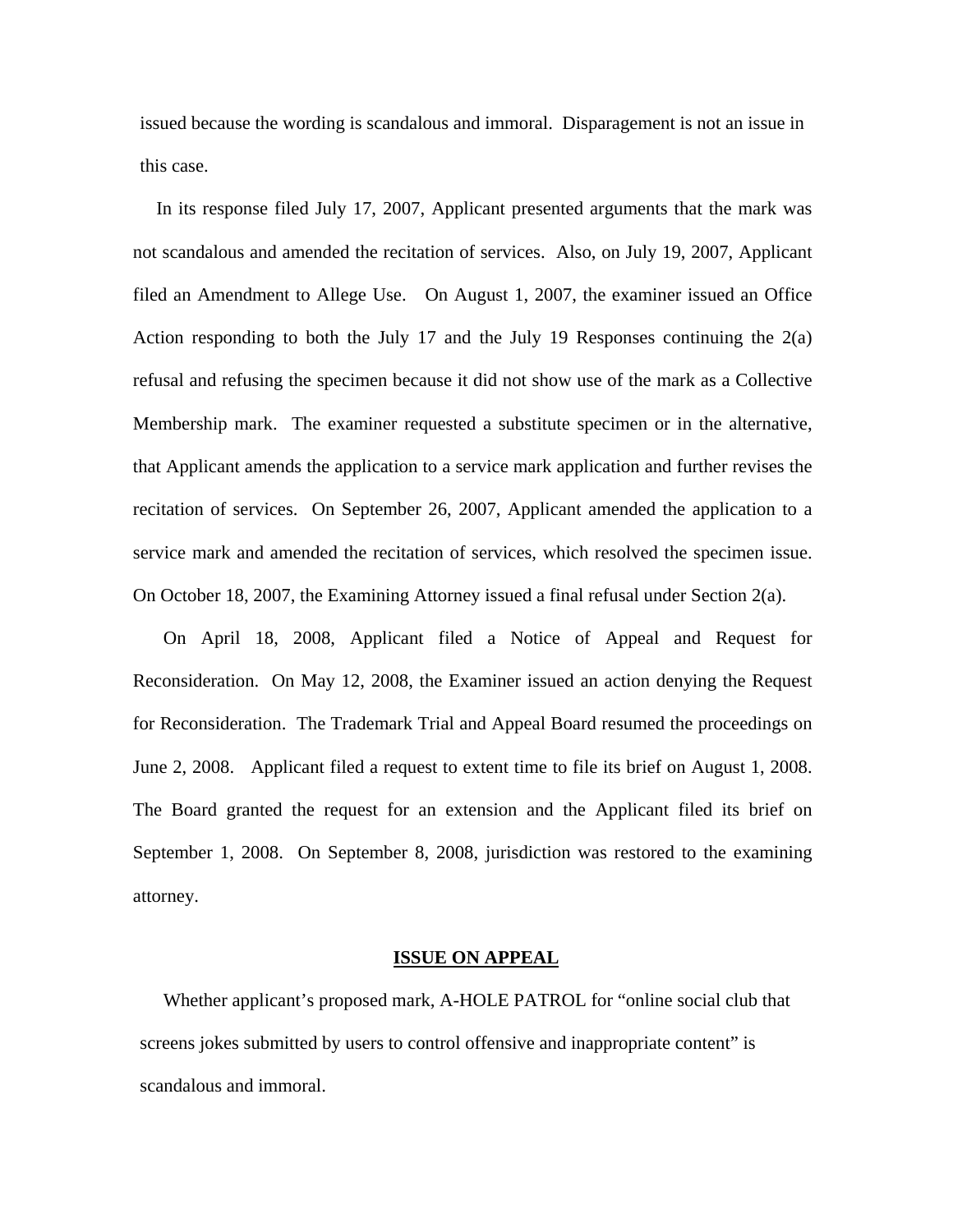issued because the wording is scandalous and immoral. Disparagement is not an issue in this case.

 In its response filed July 17, 2007, Applicant presented arguments that the mark was not scandalous and amended the recitation of services. Also, on July 19, 2007, Applicant filed an Amendment to Allege Use. On August 1, 2007, the examiner issued an Office Action responding to both the July 17 and the July 19 Responses continuing the  $2(a)$ refusal and refusing the specimen because it did not show use of the mark as a Collective Membership mark. The examiner requested a substitute specimen or in the alternative, that Applicant amends the application to a service mark application and further revises the recitation of services. On September 26, 2007, Applicant amended the application to a service mark and amended the recitation of services, which resolved the specimen issue. On October 18, 2007, the Examining Attorney issued a final refusal under Section 2(a).

 On April 18, 2008, Applicant filed a Notice of Appeal and Request for Reconsideration. On May 12, 2008, the Examiner issued an action denying the Request for Reconsideration. The Trademark Trial and Appeal Board resumed the proceedings on June 2, 2008. Applicant filed a request to extent time to file its brief on August 1, 2008. The Board granted the request for an extension and the Applicant filed its brief on September 1, 2008. On September 8, 2008, jurisdiction was restored to the examining attorney.

### **ISSUE ON APPEAL**

 Whether applicant's proposed mark, A-HOLE PATROL for "online social club that screens jokes submitted by users to control offensive and inappropriate content" is scandalous and immoral.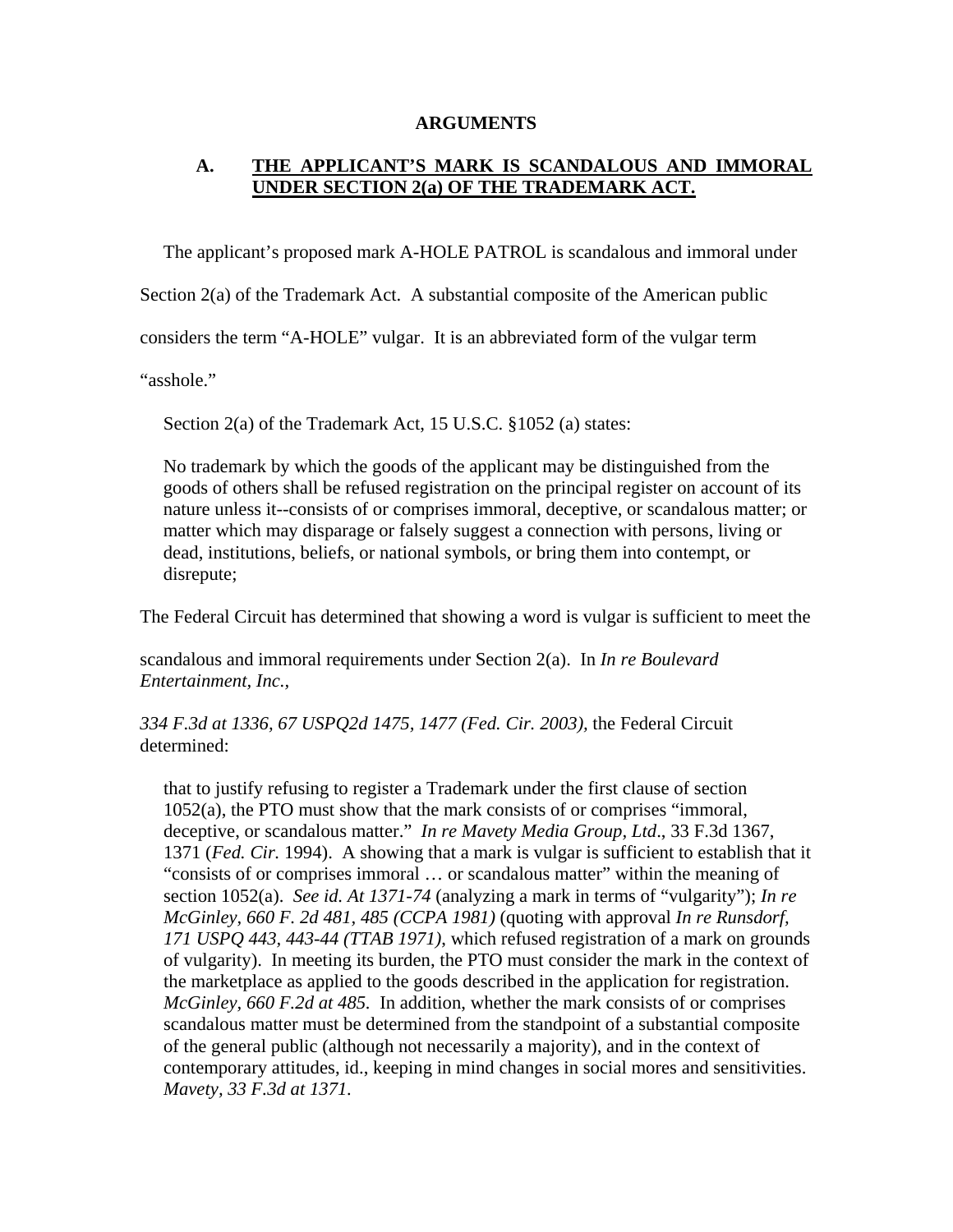## **ARGUMENTS**

## **A. THE APPLICANT'S MARK IS SCANDALOUS AND IMMORAL UNDER SECTION 2(a) OF THE TRADEMARK ACT.**

The applicant's proposed mark A-HOLE PATROL is scandalous and immoral under

Section 2(a) of the Trademark Act. A substantial composite of the American public

considers the term "A-HOLE" vulgar. It is an abbreviated form of the vulgar term

"asshole."

Section 2(a) of the Trademark Act, 15 U.S.C. §1052 (a) states:

No trademark by which the goods of the applicant may be distinguished from the goods of others shall be refused registration on the principal register on account of its nature unless it--consists of or comprises immoral, deceptive, or scandalous matter; or matter which may disparage or falsely suggest a connection with persons, living or dead, institutions, beliefs, or national symbols, or bring them into contempt, or disrepute;

The Federal Circuit has determined that showing a word is vulgar is sufficient to meet the

scandalous and immoral requirements under Section 2(a). In *In re Boulevard Entertainment, Inc.,* 

*334 F.3d at 1336, 67 USPQ2d 1475, 1477 (Fed. Cir. 2003),* the Federal Circuit determined:

that to justify refusing to register a Trademark under the first clause of section 1052(a), the PTO must show that the mark consists of or comprises "immoral, deceptive, or scandalous matter." *In re Mavety Media Group, Ltd*., 33 F.3d 1367, 1371 (*Fed. Cir.* 1994). A showing that a mark is vulgar is sufficient to establish that it "consists of or comprises immoral … or scandalous matter" within the meaning of section 1052(a). *See id. At 1371-74* (analyzing a mark in terms of "vulgarity"); *In re McGinley, 660 F. 2d 481, 485 (CCPA 1981)* (quoting with approval *In re Runsdorf, 171 USPQ 443, 443-44 (TTAB 1971)*, which refused registration of a mark on grounds of vulgarity). In meeting its burden, the PTO must consider the mark in the context of the marketplace as applied to the goods described in the application for registration. *McGinley, 660 F.2d at 485.* In addition, whether the mark consists of or comprises scandalous matter must be determined from the standpoint of a substantial composite of the general public (although not necessarily a majority), and in the context of contemporary attitudes, id., keeping in mind changes in social mores and sensitivities. *Mavety, 33 F.3d at 1371.*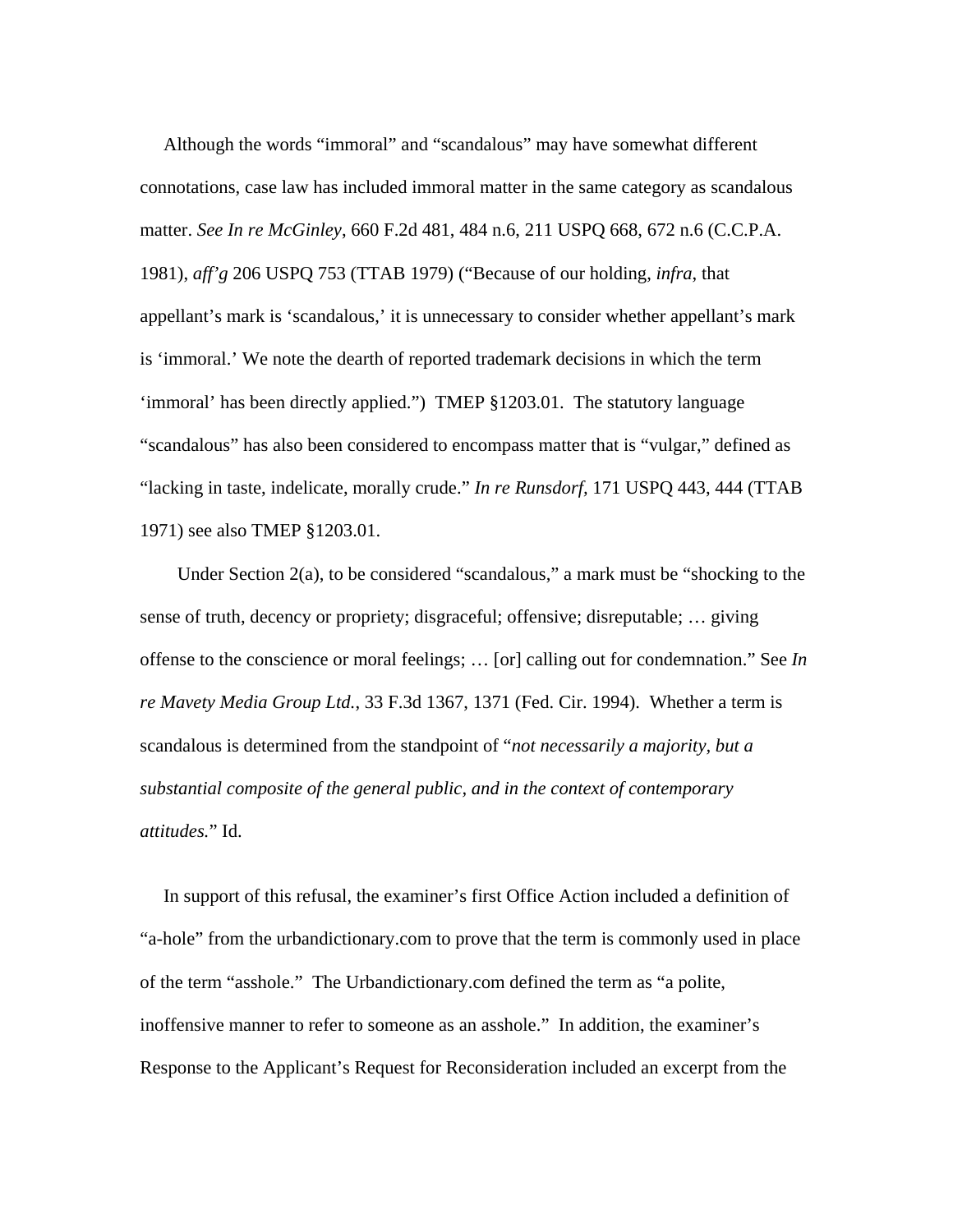Although the words "immoral" and "scandalous" may have somewhat different connotations, case law has included immoral matter in the same category as scandalous matter. *See In re McGinley*, 660 F.2d 481, 484 n.6, 211 USPQ 668, 672 n.6 (C.C.P.A. 1981), *aff'g* 206 USPQ 753 (TTAB 1979) ("Because of our holding, *infra*, that appellant's mark is 'scandalous,' it is unnecessary to consider whether appellant's mark is 'immoral.' We note the dearth of reported trademark decisions in which the term 'immoral' has been directly applied.") TMEP §1203.01. The statutory language "scandalous" has also been considered to encompass matter that is "vulgar," defined as "lacking in taste, indelicate, morally crude." *In re Runsdorf,* 171 USPQ 443, 444 (TTAB 1971) see also TMEP §1203.01.

 Under Section 2(a), to be considered "scandalous," a mark must be "shocking to the sense of truth, decency or propriety; disgraceful; offensive; disreputable; … giving offense to the conscience or moral feelings; … [or] calling out for condemnation." See *In re Mavety Media Group Ltd.*, 33 F.3d 1367, 1371 (Fed. Cir. 1994). Whether a term is scandalous is determined from the standpoint of "*not necessarily a majority, but a substantial composite of the general public, and in the context of contemporary attitudes.*" Id.

In support of this refusal, the examiner's first Office Action included a definition of "a-hole" from the urbandictionary.com to prove that the term is commonly used in place of the term "asshole." The Urbandictionary.com defined the term as "a polite, inoffensive manner to refer to someone as an asshole." In addition, the examiner's Response to the Applicant's Request for Reconsideration included an excerpt from the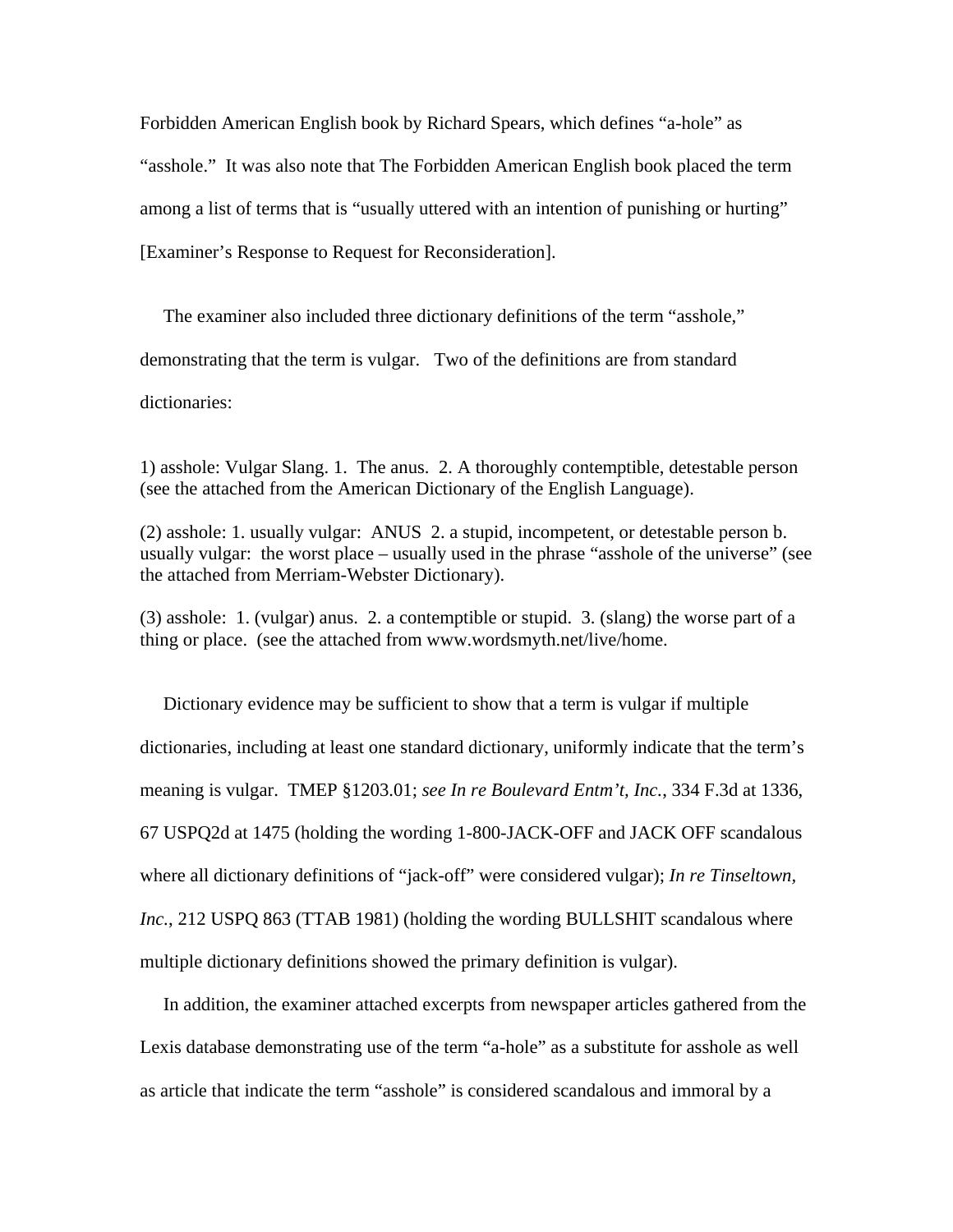Forbidden American English book by Richard Spears, which defines "a-hole" as "asshole." It was also note that The Forbidden American English book placed the term among a list of terms that is "usually uttered with an intention of punishing or hurting" [Examiner's Response to Request for Reconsideration].

 The examiner also included three dictionary definitions of the term "asshole," demonstrating that the term is vulgar. Two of the definitions are from standard dictionaries:

1) asshole: Vulgar Slang. 1. The anus. 2. A thoroughly contemptible, detestable person (see the attached from the American Dictionary of the English Language).

(2) asshole: 1. usually vulgar: ANUS 2. a stupid, incompetent, or detestable person b. usually vulgar: the worst place – usually used in the phrase "asshole of the universe" (see the attached from Merriam-Webster Dictionary).

(3) asshole: 1. (vulgar) anus. 2. a contemptible or stupid. 3. (slang) the worse part of a thing or place. (see the attached from www.wordsmyth.net/live/home.

 Dictionary evidence may be sufficient to show that a term is vulgar if multiple dictionaries, including at least one standard dictionary, uniformly indicate that the term's meaning is vulgar. TMEP §1203.01; *see In re Boulevard Entm't, Inc.*, 334 F.3d at 1336, 67 USPQ2d at 1475 (holding the wording 1-800-JACK-OFF and JACK OFF scandalous where all dictionary definitions of "jack-off" were considered vulgar); *In re Tinseltown, Inc.*, 212 USPQ 863 (TTAB 1981) (holding the wording BULLSHIT scandalous where multiple dictionary definitions showed the primary definition is vulgar).

 In addition, the examiner attached excerpts from newspaper articles gathered from the Lexis database demonstrating use of the term "a-hole" as a substitute for asshole as well as article that indicate the term "asshole" is considered scandalous and immoral by a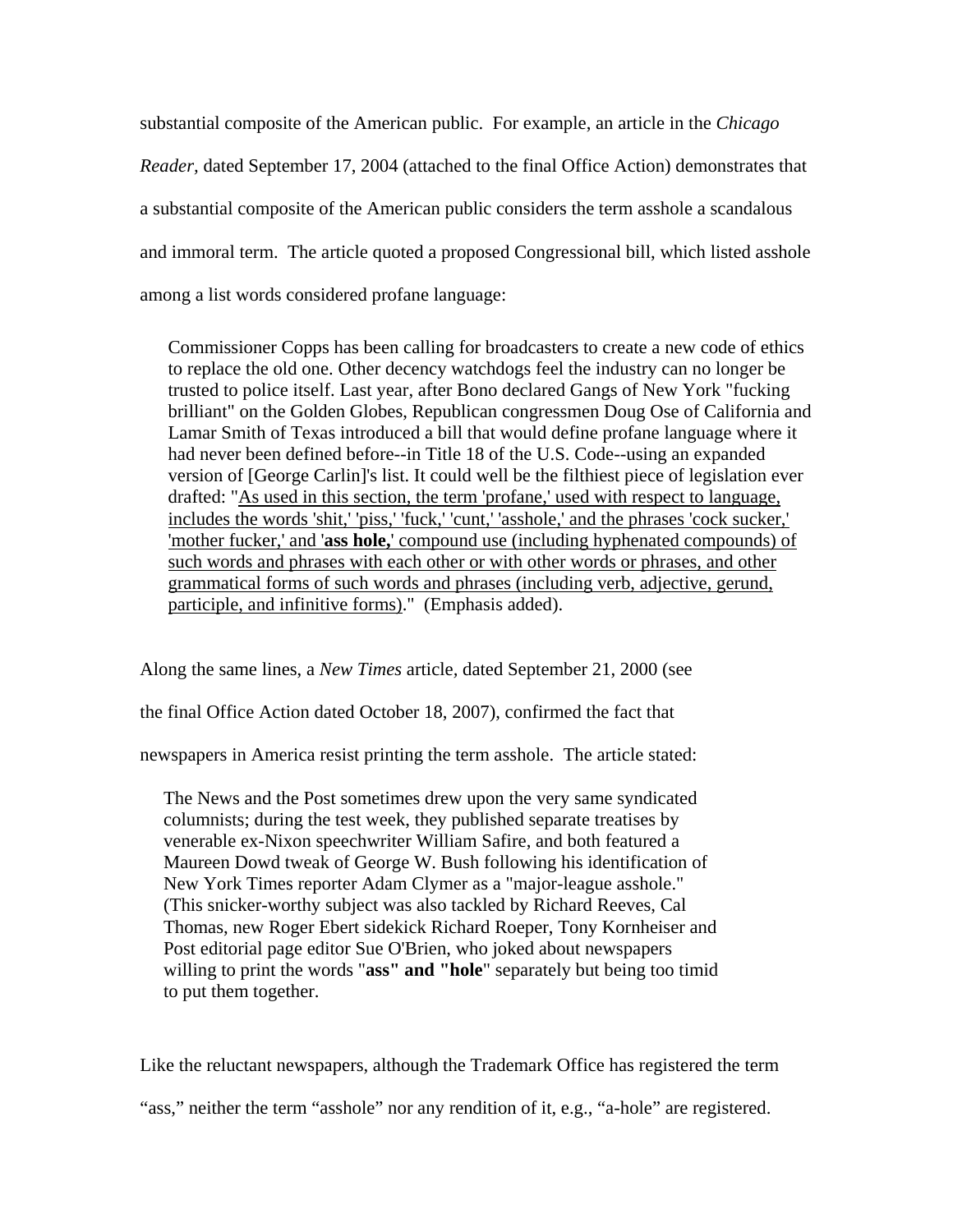substantial composite of the American public. For example, an article in the *Chicago Reader,* dated September 17, 2004 (attached to the final Office Action) demonstrates that a substantial composite of the American public considers the term asshole a scandalous and immoral term. The article quoted a proposed Congressional bill, which listed asshole among a list words considered profane language:

Commissioner Copps has been calling for broadcasters to create a new code of ethics to replace the old one. Other decency watchdogs feel the industry can no longer be trusted to police itself. Last year, after Bono declared Gangs of New York "fucking brilliant" on the Golden Globes, Republican congressmen Doug Ose of California and Lamar Smith of Texas introduced a bill that would define profane language where it had never been defined before--in Title 18 of the U.S. Code--using an expanded version of [George Carlin]'s list. It could well be the filthiest piece of legislation ever drafted: "As used in this section, the term 'profane,' used with respect to language, includes the words 'shit,' 'piss,' 'fuck,' 'cunt,' 'asshole,' and the phrases 'cock sucker,' 'mother fucker,' and '**ass hole,**' compound use (including hyphenated compounds) of such words and phrases with each other or with other words or phrases, and other grammatical forms of such words and phrases (including verb, adjective, gerund, participle, and infinitive forms)." (Emphasis added).

Along the same lines, a *New Times* article*,* dated September 21, 2000 (see

the final Office Action dated October 18, 2007), confirmed the fact that

newspapers in America resist printing the term asshole. The article stated:

The News and the Post sometimes drew upon the very same syndicated columnists; during the test week, they published separate treatises by venerable ex-Nixon speechwriter William Safire, and both featured a Maureen Dowd tweak of George W. Bush following his identification of New York Times reporter Adam Clymer as a "major-league asshole." (This snicker-worthy subject was also tackled by Richard Reeves, Cal Thomas, new Roger Ebert sidekick Richard Roeper, Tony Kornheiser and Post editorial page editor Sue O'Brien, who joked about newspapers willing to print the words "**ass" and "hole**" separately but being too timid to put them together.

Like the reluctant newspapers, although the Trademark Office has registered the term

"ass," neither the term "asshole" nor any rendition of it, e.g., "a-hole" are registered.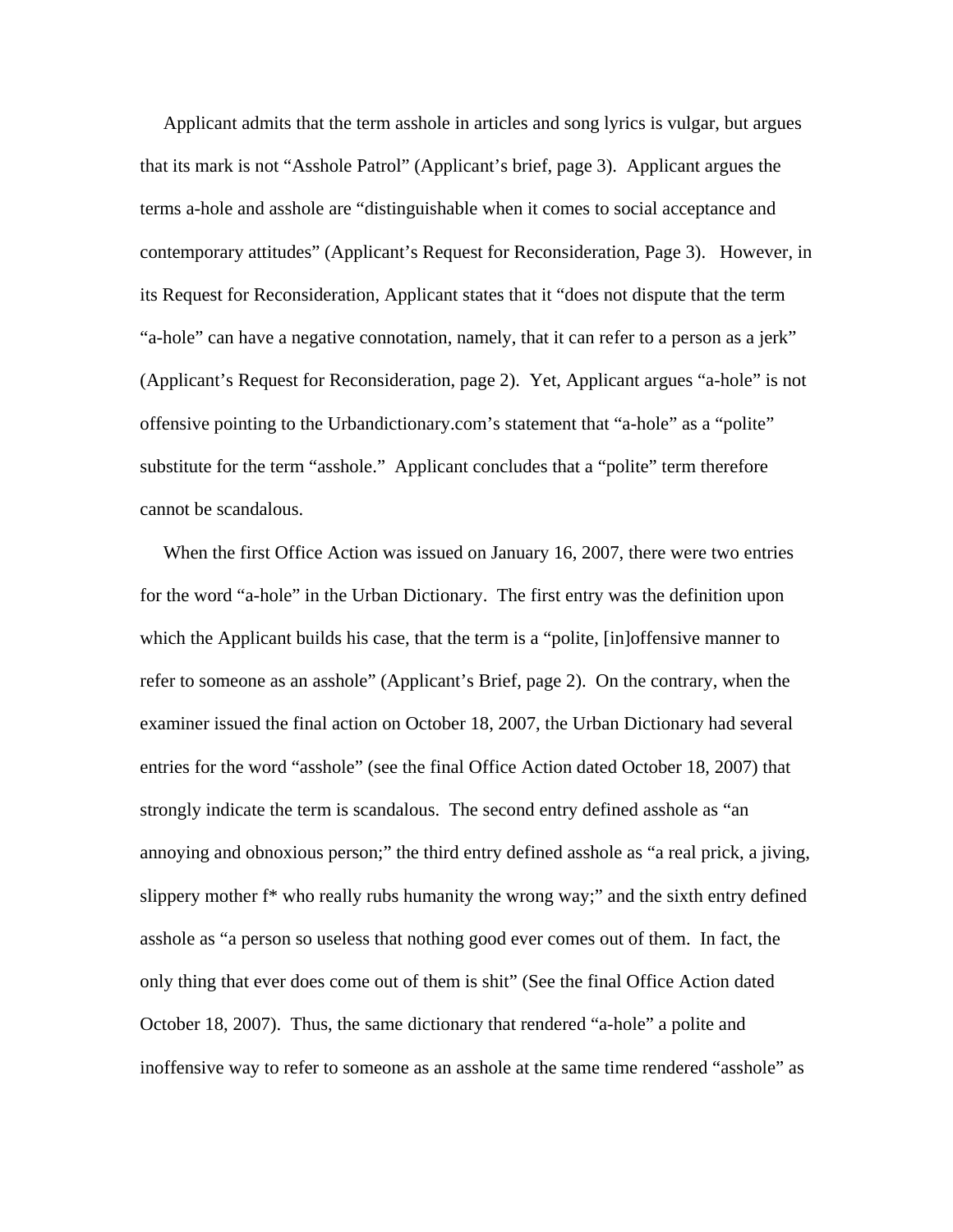Applicant admits that the term asshole in articles and song lyrics is vulgar, but argues that its mark is not "Asshole Patrol" (Applicant's brief, page 3). Applicant argues the terms a-hole and asshole are "distinguishable when it comes to social acceptance and contemporary attitudes" (Applicant's Request for Reconsideration, Page 3). However, in its Request for Reconsideration, Applicant states that it "does not dispute that the term "a-hole" can have a negative connotation, namely, that it can refer to a person as a jerk" (Applicant's Request for Reconsideration, page 2). Yet, Applicant argues "a-hole" is not offensive pointing to the Urbandictionary.com's statement that "a-hole" as a "polite" substitute for the term "asshole." Applicant concludes that a "polite" term therefore cannot be scandalous.

 When the first Office Action was issued on January 16, 2007, there were two entries for the word "a-hole" in the Urban Dictionary. The first entry was the definition upon which the Applicant builds his case, that the term is a "polite, [in]offensive manner to refer to someone as an asshole" (Applicant's Brief, page 2). On the contrary, when the examiner issued the final action on October 18, 2007, the Urban Dictionary had several entries for the word "asshole" (see the final Office Action dated October 18, 2007) that strongly indicate the term is scandalous. The second entry defined asshole as "an annoying and obnoxious person;" the third entry defined asshole as "a real prick, a jiving, slippery mother f\* who really rubs humanity the wrong way;" and the sixth entry defined asshole as "a person so useless that nothing good ever comes out of them. In fact, the only thing that ever does come out of them is shit" (See the final Office Action dated October 18, 2007). Thus, the same dictionary that rendered "a-hole" a polite and inoffensive way to refer to someone as an asshole at the same time rendered "asshole" as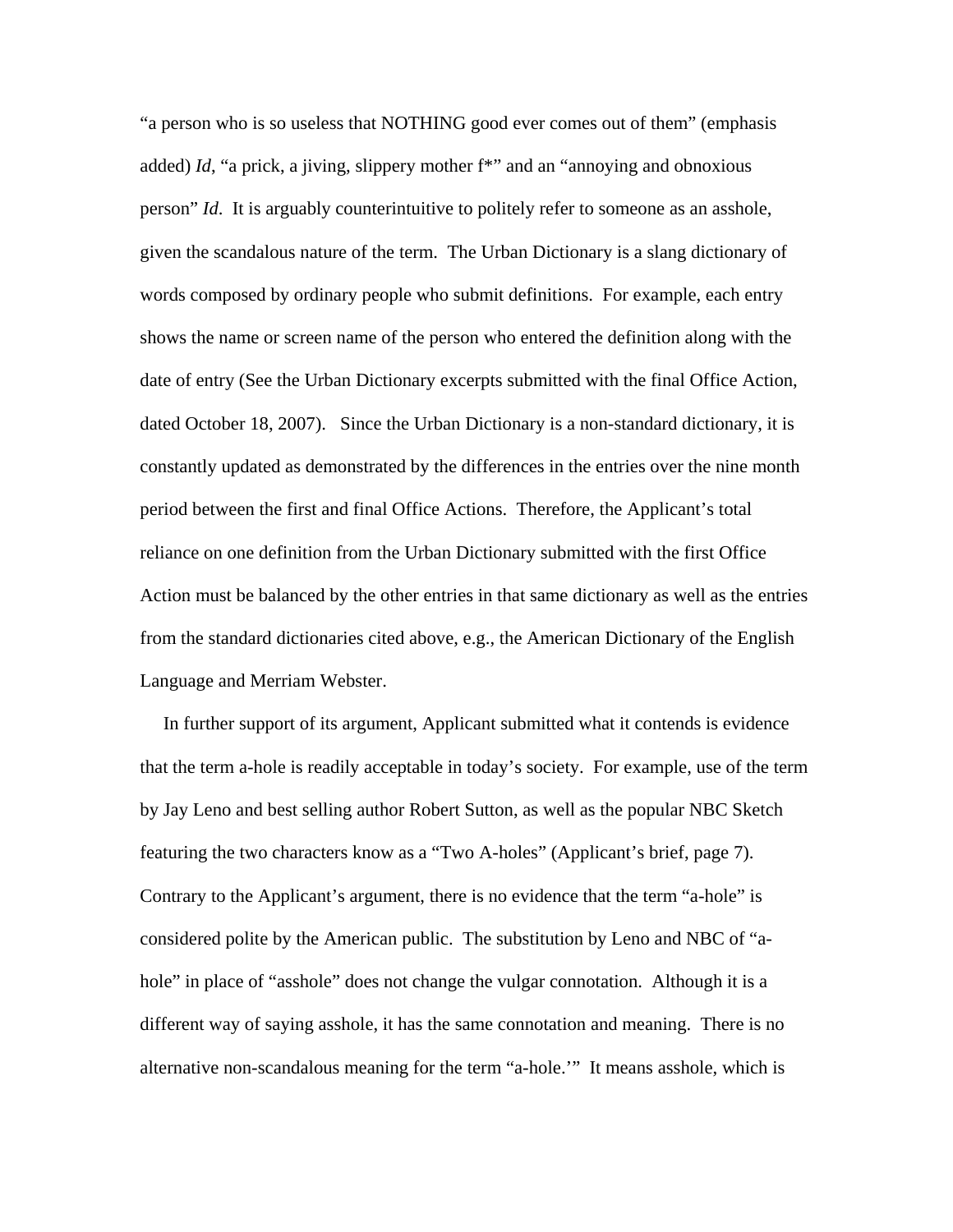"a person who is so useless that NOTHING good ever comes out of them" (emphasis added) *Id*, "a prick, a jiving, slippery mother f\*" and an "annoying and obnoxious person" *Id*. It is arguably counterintuitive to politely refer to someone as an asshole, given the scandalous nature of the term. The Urban Dictionary is a slang dictionary of words composed by ordinary people who submit definitions. For example, each entry shows the name or screen name of the person who entered the definition along with the date of entry (See the Urban Dictionary excerpts submitted with the final Office Action, dated October 18, 2007). Since the Urban Dictionary is a non-standard dictionary, it is constantly updated as demonstrated by the differences in the entries over the nine month period between the first and final Office Actions. Therefore, the Applicant's total reliance on one definition from the Urban Dictionary submitted with the first Office Action must be balanced by the other entries in that same dictionary as well as the entries from the standard dictionaries cited above, e.g., the American Dictionary of the English Language and Merriam Webster.

 In further support of its argument, Applicant submitted what it contends is evidence that the term a-hole is readily acceptable in today's society. For example, use of the term by Jay Leno and best selling author Robert Sutton, as well as the popular NBC Sketch featuring the two characters know as a "Two A-holes" (Applicant's brief, page 7). Contrary to the Applicant's argument, there is no evidence that the term "a-hole" is considered polite by the American public. The substitution by Leno and NBC of "ahole" in place of "asshole" does not change the vulgar connotation. Although it is a different way of saying asshole, it has the same connotation and meaning. There is no alternative non-scandalous meaning for the term "a-hole.'" It means asshole, which is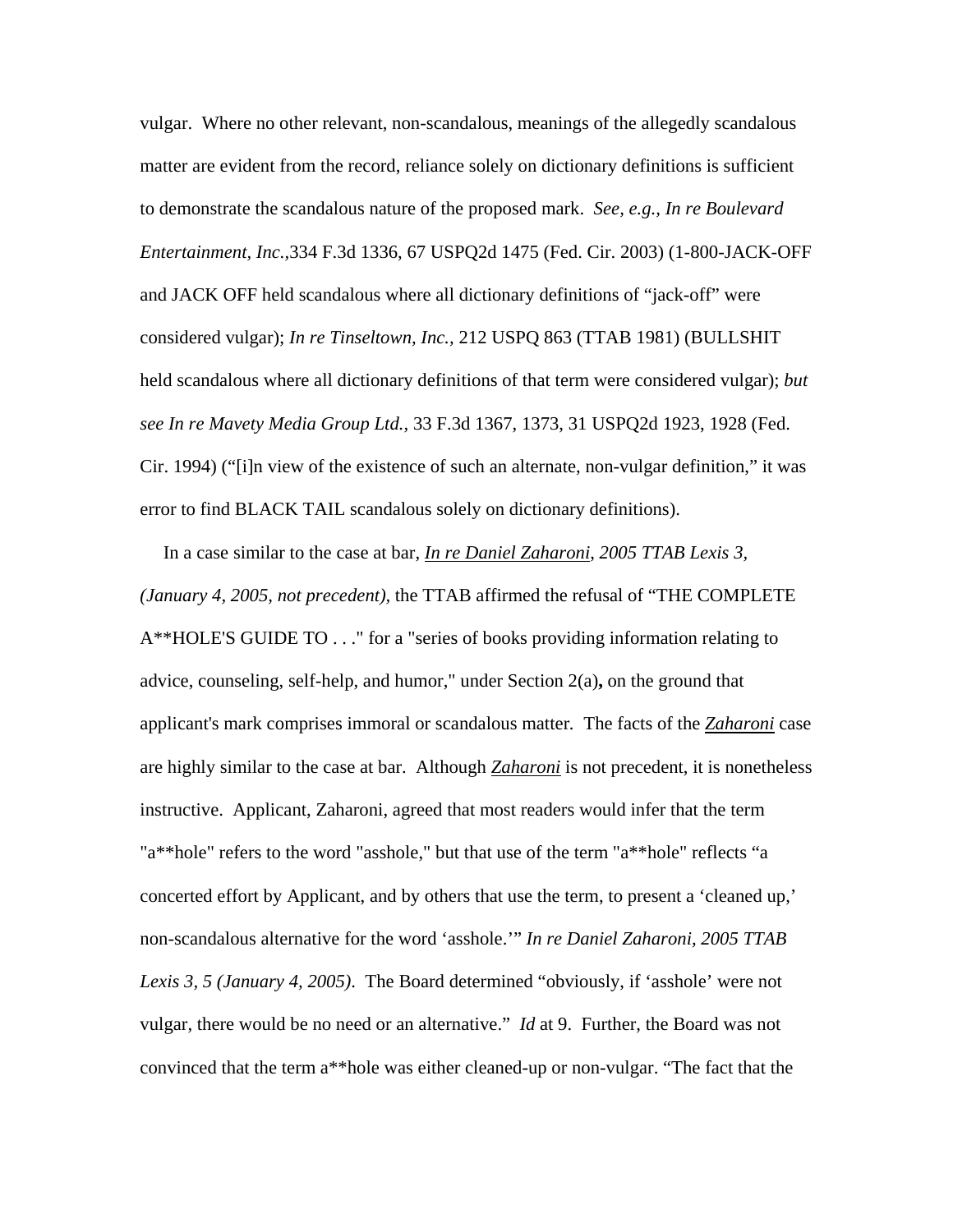vulgar. Where no other relevant, non-scandalous, meanings of the allegedly scandalous matter are evident from the record, reliance solely on dictionary definitions is sufficient to demonstrate the scandalous nature of the proposed mark. *See, e.g., In re Boulevard Entertainment, Inc.,*334 F.3d 1336, 67 USPQ2d 1475 (Fed. Cir. 2003) (1-800-JACK-OFF and JACK OFF held scandalous where all dictionary definitions of "jack-off" were considered vulgar); *In re Tinseltown, Inc.,* 212 USPQ 863 (TTAB 1981) (BULLSHIT held scandalous where all dictionary definitions of that term were considered vulgar); *but see In re Mavety Media Group Ltd.,* 33 F.3d 1367, 1373, 31 USPQ2d 1923, 1928 (Fed. Cir. 1994) ("[i]n view of the existence of such an alternate, non-vulgar definition," it was error to find BLACK TAIL scandalous solely on dictionary definitions).

 In a case similar to the case at bar, *In re Daniel Zaharoni*, *2005 TTAB Lexis 3, (January 4, 2005, not precedent),* the TTAB affirmed the refusal of "THE COMPLETE A\*\*HOLE'S GUIDE TO . . ." for a "series of books providing information relating to advice, counseling, self-help, and humor," under Section 2(a)**,** on the ground that applicant's mark comprises immoral or scandalous matter*.* The facts of the *Zaharoni* case are highly similar to the case at bar. Although *Zaharoni* is not precedent, it is nonetheless instructive. Applicant, Zaharoni, agreed that most readers would infer that the term "a\*\*hole" refers to the word "asshole," but that use of the term "a\*\*hole" reflects "a concerted effort by Applicant, and by others that use the term, to present a 'cleaned up,' non-scandalous alternative for the word 'asshole.'" *In re Daniel Zaharoni, 2005 TTAB Lexis 3, 5 (January 4, 2005)*. The Board determined "obviously, if 'asshole' were not vulgar, there would be no need or an alternative." *Id* at 9. Further, the Board was not convinced that the term a\*\*hole was either cleaned-up or non-vulgar. "The fact that the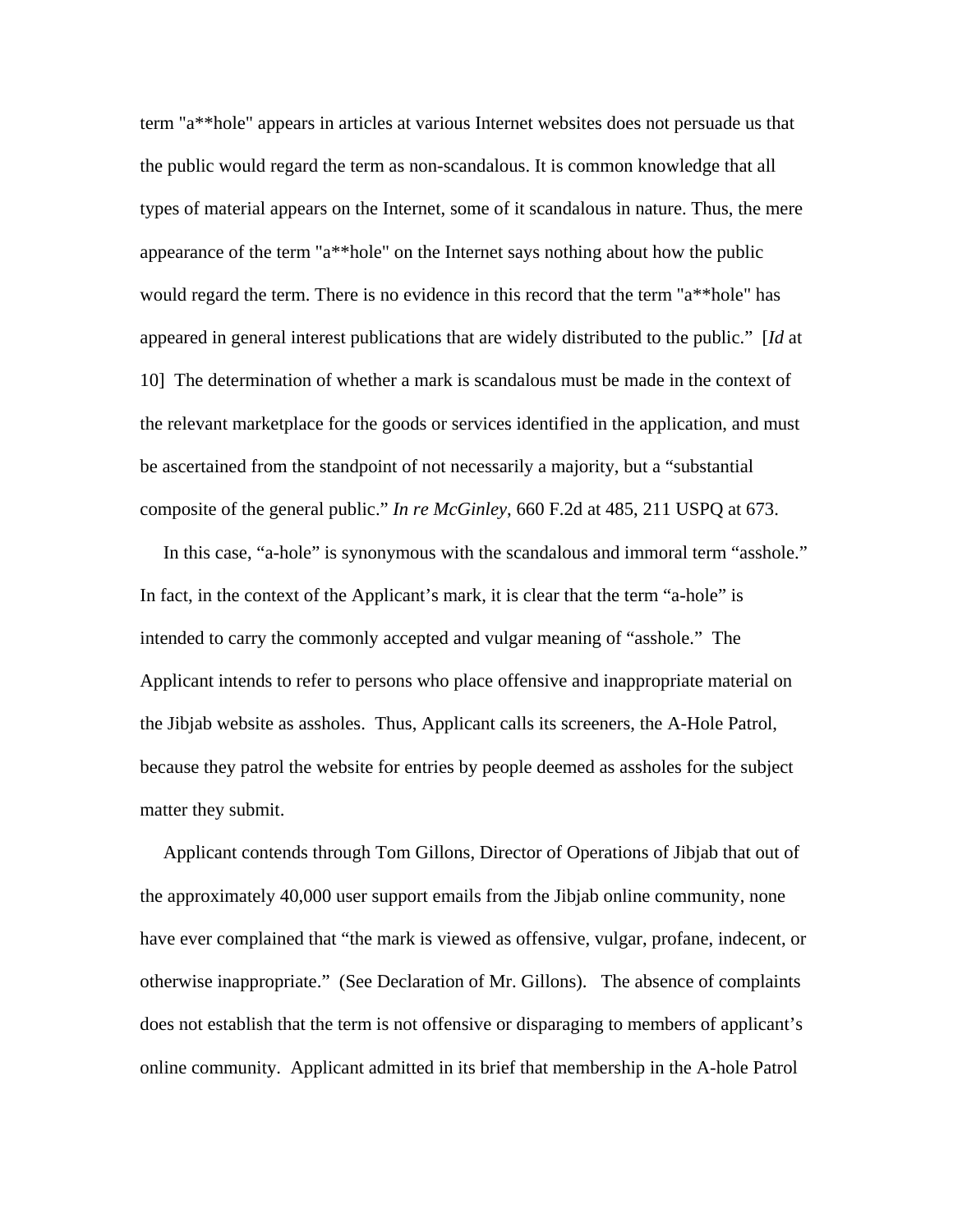term "a\*\*hole" appears in articles at various Internet websites does not persuade us that the public would regard the term as non-scandalous. It is common knowledge that all types of material appears on the Internet, some of it scandalous in nature. Thus, the mere appearance of the term "a\*\*hole" on the Internet says nothing about how the public would regard the term. There is no evidence in this record that the term "a\*\*hole" has appeared in general interest publications that are widely distributed to the public." [*Id* at 10] The determination of whether a mark is scandalous must be made in the context of the relevant marketplace for the goods or services identified in the application, and must be ascertained from the standpoint of not necessarily a majority, but a "substantial composite of the general public." *In re McGinley*, 660 F.2d at 485, 211 USPQ at 673.

 In this case, "a-hole" is synonymous with the scandalous and immoral term "asshole." In fact, in the context of the Applicant's mark, it is clear that the term "a-hole" is intended to carry the commonly accepted and vulgar meaning of "asshole." The Applicant intends to refer to persons who place offensive and inappropriate material on the Jibjab website as assholes. Thus, Applicant calls its screeners, the A-Hole Patrol, because they patrol the website for entries by people deemed as assholes for the subject matter they submit.

 Applicant contends through Tom Gillons, Director of Operations of Jibjab that out of the approximately 40,000 user support emails from the Jibjab online community, none have ever complained that "the mark is viewed as offensive, vulgar, profane, indecent, or otherwise inappropriate." (See Declaration of Mr. Gillons). The absence of complaints does not establish that the term is not offensive or disparaging to members of applicant's online community. Applicant admitted in its brief that membership in the A-hole Patrol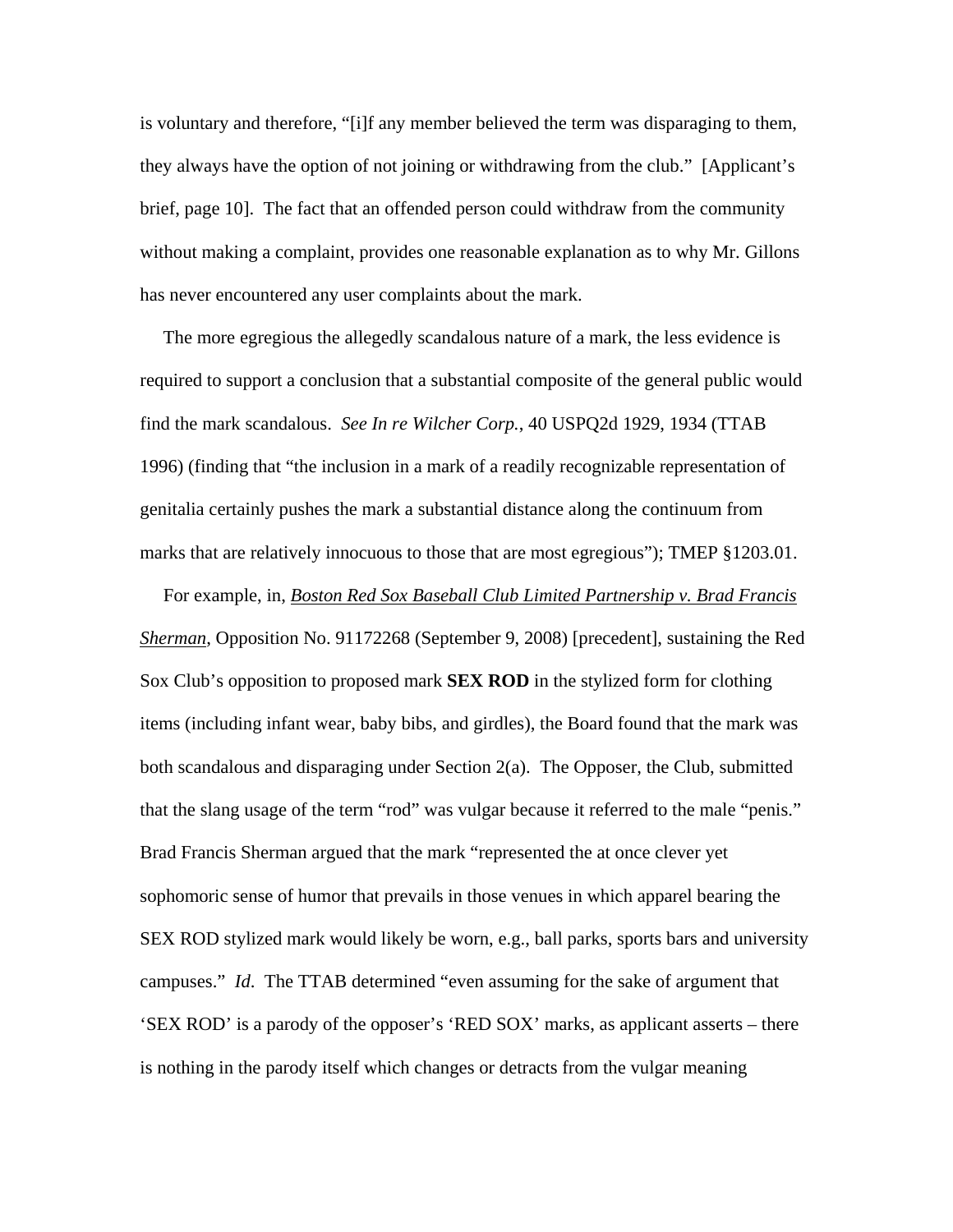is voluntary and therefore, "[i]f any member believed the term was disparaging to them, they always have the option of not joining or withdrawing from the club." [Applicant's brief, page 10]. The fact that an offended person could withdraw from the community without making a complaint, provides one reasonable explanation as to why Mr. Gillons has never encountered any user complaints about the mark.

 The more egregious the allegedly scandalous nature of a mark, the less evidence is required to support a conclusion that a substantial composite of the general public would find the mark scandalous. *See In re Wilcher Corp.*, 40 USPQ2d 1929, 1934 (TTAB 1996) (finding that "the inclusion in a mark of a readily recognizable representation of genitalia certainly pushes the mark a substantial distance along the continuum from marks that are relatively innocuous to those that are most egregious"); TMEP §1203.01.

 For example, in, *Boston Red Sox Baseball Club Limited Partnership v. Brad Francis Sherman*, Opposition No. 91172268 (September 9, 2008) [precedent], sustaining the Red Sox Club's opposition to proposed mark **SEX ROD** in the stylized form for clothing items (including infant wear, baby bibs, and girdles), the Board found that the mark was both scandalous and disparaging under Section 2(a). The Opposer, the Club, submitted that the slang usage of the term "rod" was vulgar because it referred to the male "penis." Brad Francis Sherman argued that the mark "represented the at once clever yet sophomoric sense of humor that prevails in those venues in which apparel bearing the SEX ROD stylized mark would likely be worn, e.g., ball parks, sports bars and university campuses." *Id*. The TTAB determined "even assuming for the sake of argument that 'SEX ROD' is a parody of the opposer's 'RED SOX' marks, as applicant asserts – there is nothing in the parody itself which changes or detracts from the vulgar meaning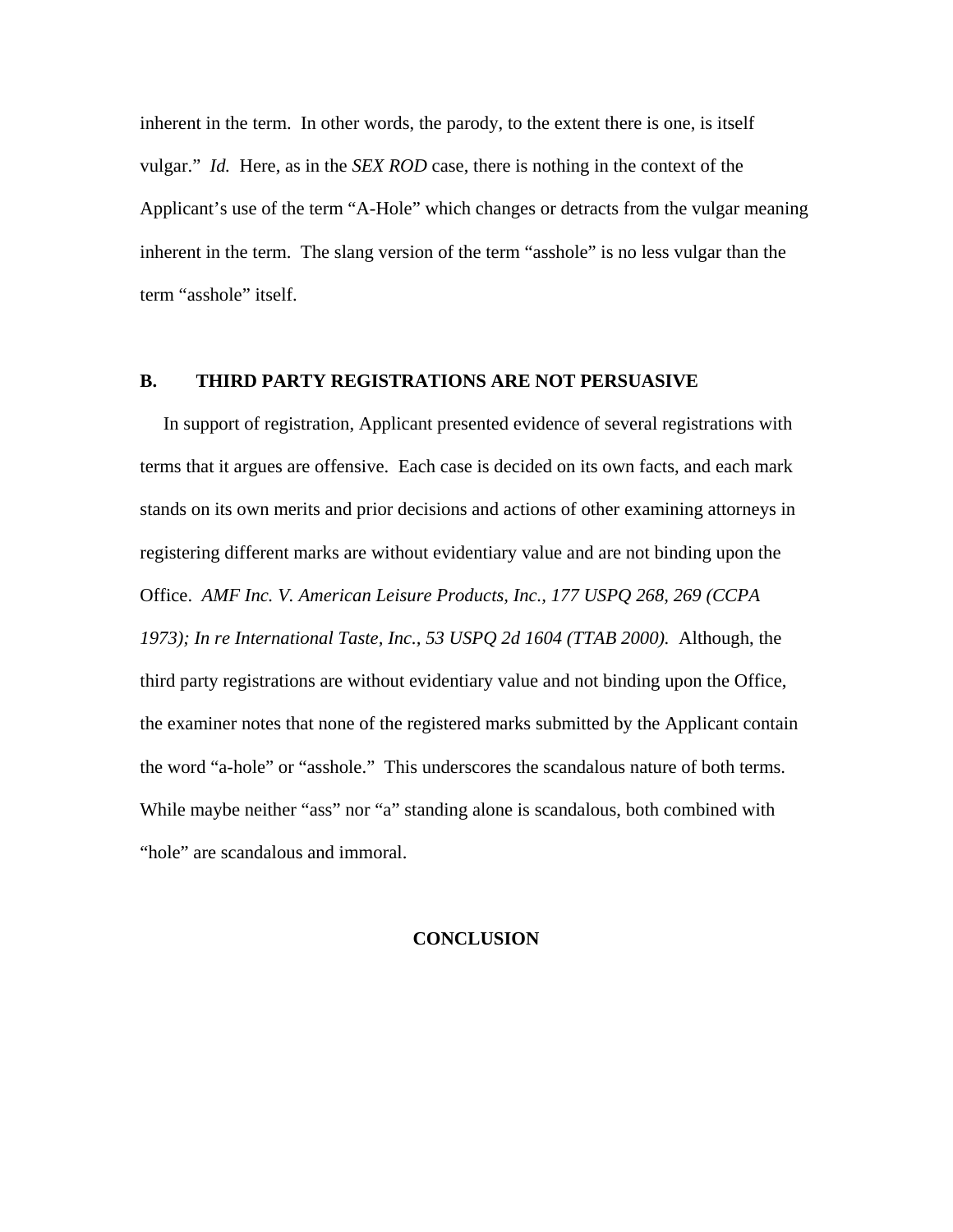inherent in the term. In other words, the parody, to the extent there is one, is itself vulgar." *Id.* Here, as in the *SEX ROD* case, there is nothing in the context of the Applicant's use of the term "A-Hole" which changes or detracts from the vulgar meaning inherent in the term. The slang version of the term "asshole" is no less vulgar than the term "asshole" itself.

### **B. THIRD PARTY REGISTRATIONS ARE NOT PERSUASIVE**

 In support of registration, Applicant presented evidence of several registrations with terms that it argues are offensive. Each case is decided on its own facts, and each mark stands on its own merits and prior decisions and actions of other examining attorneys in registering different marks are without evidentiary value and are not binding upon the Office. *AMF Inc. V. American Leisure Products, Inc., 177 USPQ 268, 269 (CCPA 1973); In re International Taste, Inc., 53 USPQ 2d 1604 (TTAB 2000).* Although, the third party registrations are without evidentiary value and not binding upon the Office, the examiner notes that none of the registered marks submitted by the Applicant contain the word "a-hole" or "asshole." This underscores the scandalous nature of both terms. While maybe neither "ass" nor "a" standing alone is scandalous, both combined with "hole" are scandalous and immoral.

#### **CONCLUSION**